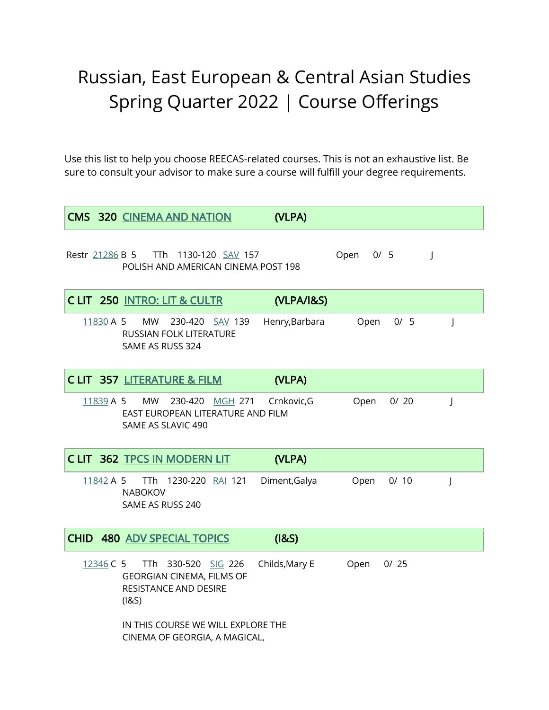## Russian, East European & Central Asian Studies Spring Quarter 2022 | Course Offerings

Use this list to help you choose REECAS-related courses. This is not an exhaustive list. Be sure to consult your advisor to make sure a course will fulfill your degree requirements.

|             | <b>CMS 320 CINEMA AND NATION</b>                                                                 | (VLPA)         |             |      |              |
|-------------|--------------------------------------------------------------------------------------------------|----------------|-------------|------|--------------|
|             | Restr 21286 B 5 TTh 1130-120 SAV 157<br>POLISH AND AMERICAN CINEMA POST 198                      |                | Open<br>0/5 |      | $\mathbf{I}$ |
|             | CLIT 250 INTRO: LIT & CULTR                                                                      | (VLPA/I&S)     |             |      |              |
| $11830$ A 5 | <b>MW</b><br>230-420 SAV 139<br>RUSSIAN FOLK LITERATURE<br>SAME AS RUSS 324                      | Henry, Barbara | Open        | 0/5  | J            |
|             | <b>CLIT 357 LITERATURE &amp; FILM</b>                                                            | (VLPA)         |             |      |              |
| 11839 A 5   | MW<br>230-420 MGH 271 Crnkovic, G<br>EAST EUROPEAN LITERATURE AND FILM<br>SAME AS SLAVIC 490     |                | Open        | 0/20 | J            |
|             | C LIT 362 TPCS IN MODERN LIT                                                                     | (VLPA)         |             |      |              |
| 11842 A 5   | TTh 1230-220 RAI 121<br><b>NABOKOV</b><br>SAME AS RUSS 240                                       | Diment, Galya  | Open        | 0/10 | J            |
|             | <b>CHID 480 ADV SPECIAL TOPICS</b>                                                               | (18S)          |             |      |              |
| 12346 C 5   | TTh 330-520 SIG 226<br><b>GEORGIAN CINEMA, FILMS OF</b><br><b>RESISTANCE AND DESIRE</b><br>(18S) | Childs, Mary E | Open        | 0/25 |              |
|             | IN THIS COURSE WE WILL EXPLORE THE<br>CINEMA OF GEORGIA, A MAGICAL,                              |                |             |      |              |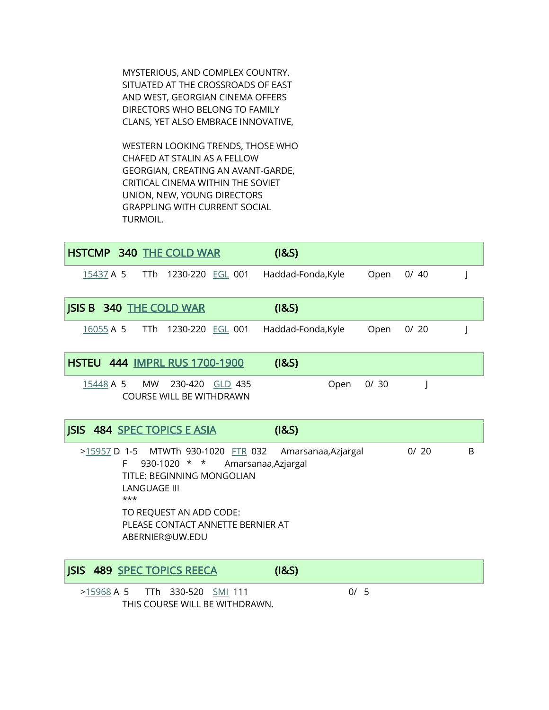MYSTERIOUS, AND COMPLEX COUNTRY. SITUATED AT THE CROSSROADS OF EAST AND WEST, GEORGIAN CINEMA OFFERS DIRECTORS WHO BELONG TO FAMILY CLANS, YET ALSO EMBRACE INNOVATIVE,

 WESTERN LOOKING TRENDS, THOSE WHO CHAFED AT STALIN AS A FELLOW GEORGIAN, CREATING AN AVANT-GARDE, CRITICAL CINEMA WITHIN THE SOVIET UNION, NEW, YOUNG DIRECTORS GRAPPLING WITH CURRENT SOCIAL TURMOIL.

|                                                                                                                                                                                                                                                                                      | <b>HSTCMP 340 THE COLD WAR</b>                        |  | (18S)              |      |      |  |  |  |  |
|--------------------------------------------------------------------------------------------------------------------------------------------------------------------------------------------------------------------------------------------------------------------------------------|-------------------------------------------------------|--|--------------------|------|------|--|--|--|--|
|                                                                                                                                                                                                                                                                                      | 15437 A 5 TTh 1230-220 EGL 001                        |  | Haddad-Fonda, Kyle | Open | 0/40 |  |  |  |  |
| <b>JSIS B 340 THE COLD WAR</b>                                                                                                                                                                                                                                                       |                                                       |  | (18S)              |      |      |  |  |  |  |
|                                                                                                                                                                                                                                                                                      | 16055 A 5 TTh 1230-220 EGL 001 Haddad-Fonda, Kyle     |  |                    | Open | 0/20 |  |  |  |  |
|                                                                                                                                                                                                                                                                                      | <b>HSTEU 444 IMPRL RUS 1700-1900</b>                  |  | (18S)              |      |      |  |  |  |  |
| 15448 A 5                                                                                                                                                                                                                                                                            | MW 230-420 GLD 435<br><b>COURSE WILL BE WITHDRAWN</b> |  | Open               | 0/30 | J    |  |  |  |  |
|                                                                                                                                                                                                                                                                                      | <b>JSIS 484 SPEC TOPICS E ASIA</b>                    |  | (18S)              |      |      |  |  |  |  |
| >15957 D 1-5 MTWTh 930-1020 FTR 032 Amarsanaa, Azjargal<br><sub>B</sub><br>0/20<br>$930-1020$ * *<br>Amarsanaa, Azjargal<br>F.<br><b>TITLE: BEGINNING MONGOLIAN</b><br><b>LANGUAGE III</b><br>***<br>TO REQUEST AN ADD CODE:<br>PLEASE CONTACT ANNETTE BERNIER AT<br>ABERNIER@UW.EDU |                                                       |  |                    |      |      |  |  |  |  |
|                                                                                                                                                                                                                                                                                      | <b>JSIS 489 SPEC TOPICS REECA</b>                     |  | (18S)              |      |      |  |  |  |  |

>15968 A 5 TTh 330-520 SMI 111 0/ 5 THIS COURSE WILL BE WITHDRAWN.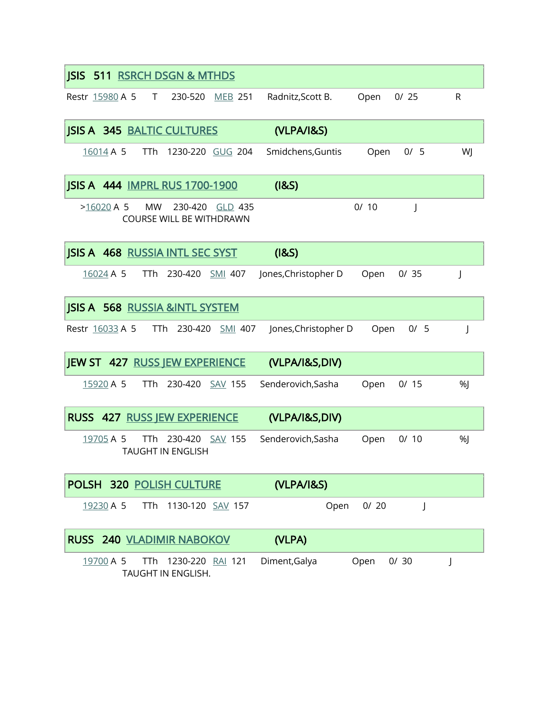| <b>ISIS</b>     | 511 RSRCH DSGN & MTHDS                           |                  |                      |      |      |    |
|-----------------|--------------------------------------------------|------------------|----------------------|------|------|----|
| Restr 15980 A 5 | T<br>230-520                                     | <b>MEB 251</b>   | Radnitz, Scott B.    | Open | 0/25 | R  |
|                 | <b>JSIS A 345 BALTIC CULTURES</b>                |                  | (VLPA/I&S)           |      |      |    |
| 16014 A 5       | TTh                                              | 1230-220 GUG 204 | Smidchens, Guntis    | Open | 0/5  | WJ |
|                 | <b>JSIS A 444 IMPRL RUS 1700-1900</b>            |                  | (18S)                |      |      |    |
| $>16020$ A 5    | MW<br>230-420<br><b>COURSE WILL BE WITHDRAWN</b> | <b>GLD 435</b>   |                      | 0/10 | J    |    |
|                 | <b>JSIS A 468 RUSSIA INTL SEC SYST</b>           |                  | (18S)                |      |      |    |
| 16024 A 5       | 230-420<br>TTh                                   | <u>SMI</u> 407   | Jones, Christopher D | Open | 0/35 | J  |
|                 | <b>JSIS A 568 RUSSIA &amp;INTL SYSTEM</b>        |                  |                      |      |      |    |
| Restr 16033 A 5 | TTh 230-420                                      | <b>SMI 407</b>   | Jones, Christopher D | Open | 0/5  | J  |
|                 | <b>JEW ST 427 RUSS JEW EXPERIENCE</b>            |                  | (VLPA/I&S,DIV)       |      |      |    |
| 15920 A 5       | 230-420<br><b>TTh</b>                            | <b>SAV 155</b>   | Senderovich, Sasha   | Open | 0/15 | %  |
|                 | <b>RUSS 427 RUSS JEW EXPERIENCE</b>              |                  | (VLPA/I&S,DIV)       |      |      |    |
| 19705 A 5       | TTh<br><b>TAUGHT IN ENGLISH</b>                  | 230-420 SAV 155  | Senderovich, Sasha   | Open | 0/10 | %  |
|                 | POLSH 320 POLISH CULTURE                         |                  | (VLPA/I&S)           |      |      |    |
| 19230 A 5       | TTh 1130-120 SAV 157                             |                  | Open                 | 0/20 | J    |    |
|                 | RUSS 240 VLADIMIR NABOKOV                        |                  | (VLPA)               |      |      |    |
| 19700 A 5       | TTh<br>TAUGHT IN ENGLISH.                        | 1230-220 RAI 121 | Diment, Galya        | Open | 0/30 | J  |